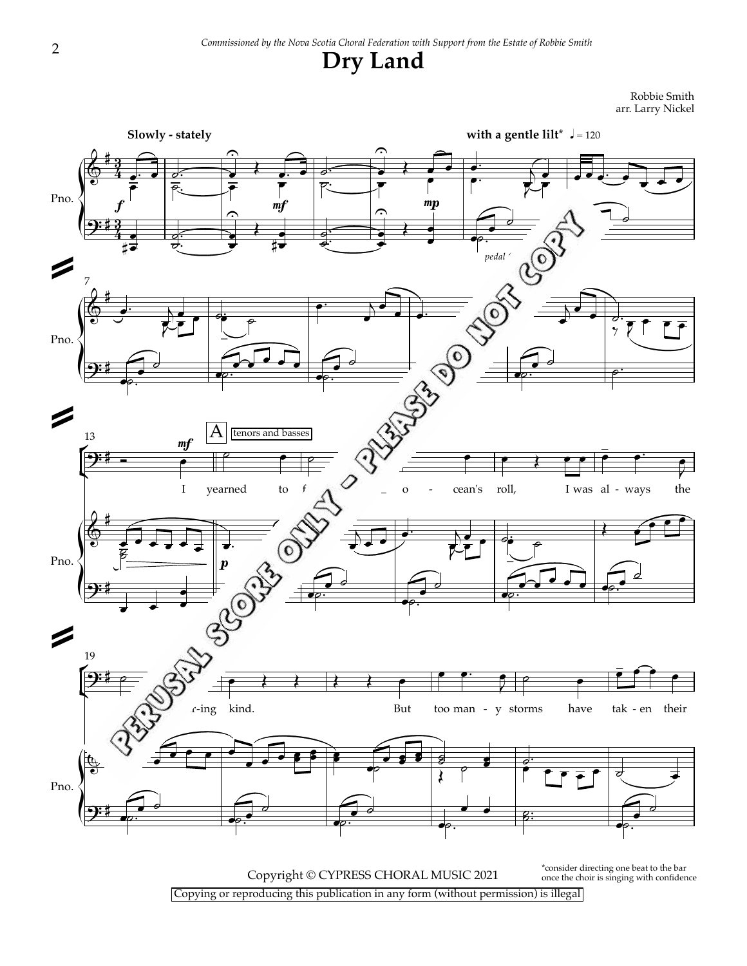## **Dry Land**

Robbie Smith arr. Larry Nickel



Copying or reproducing this publication in any form (without permission) is illegal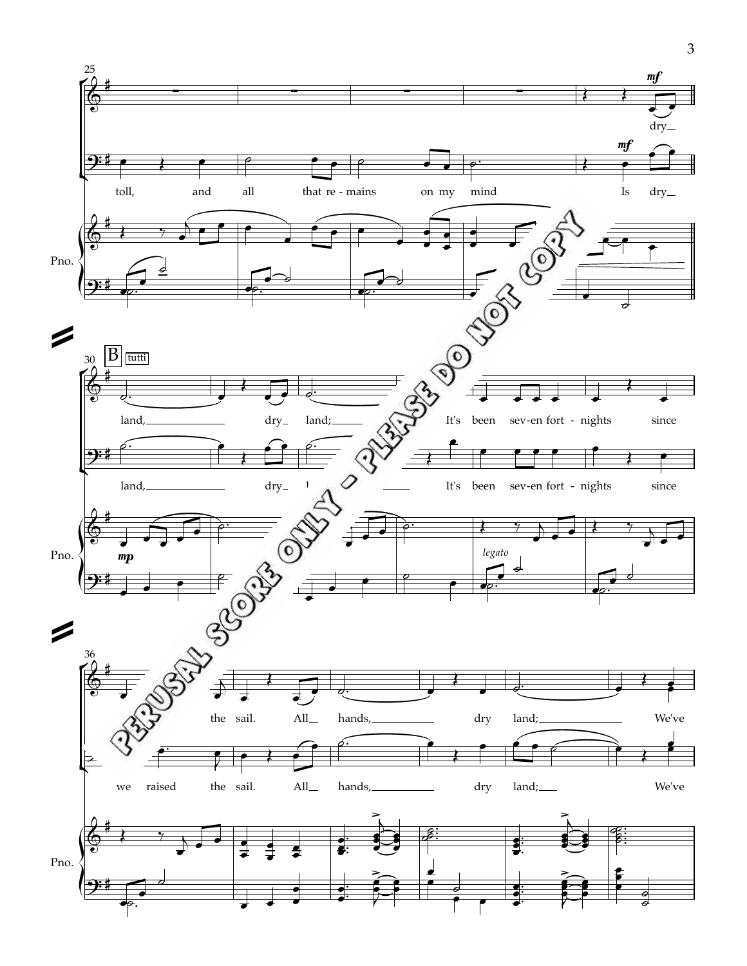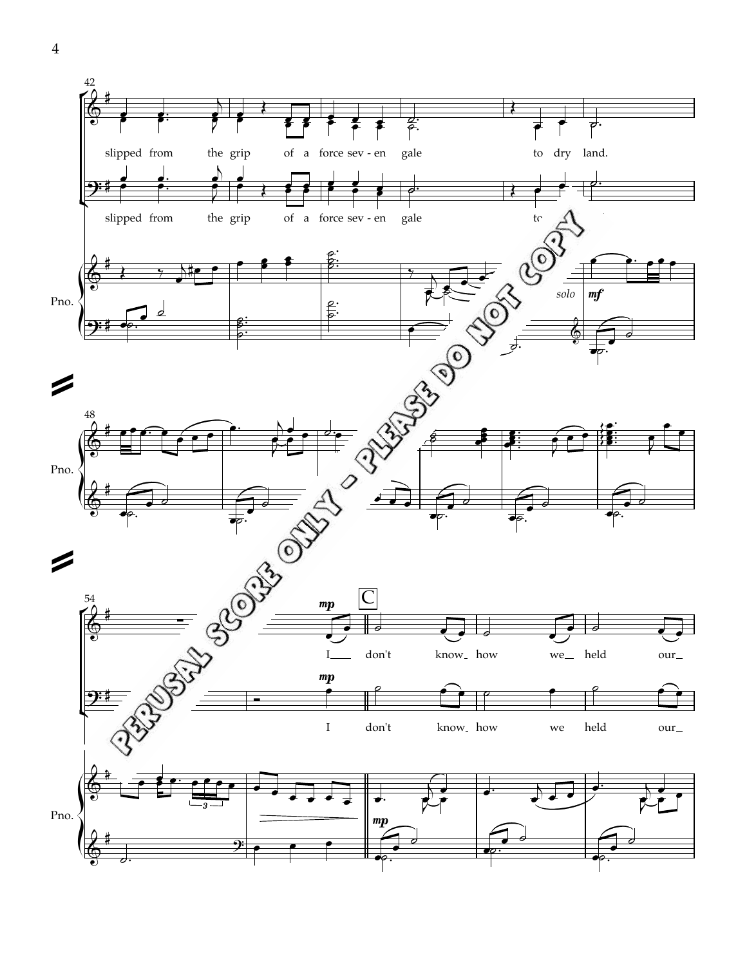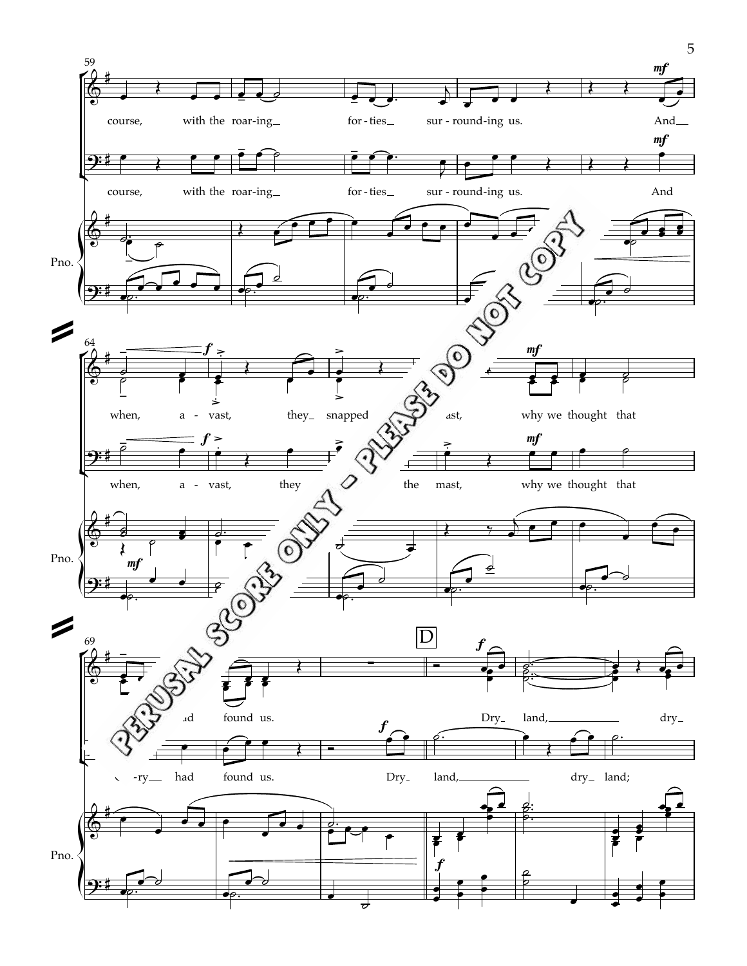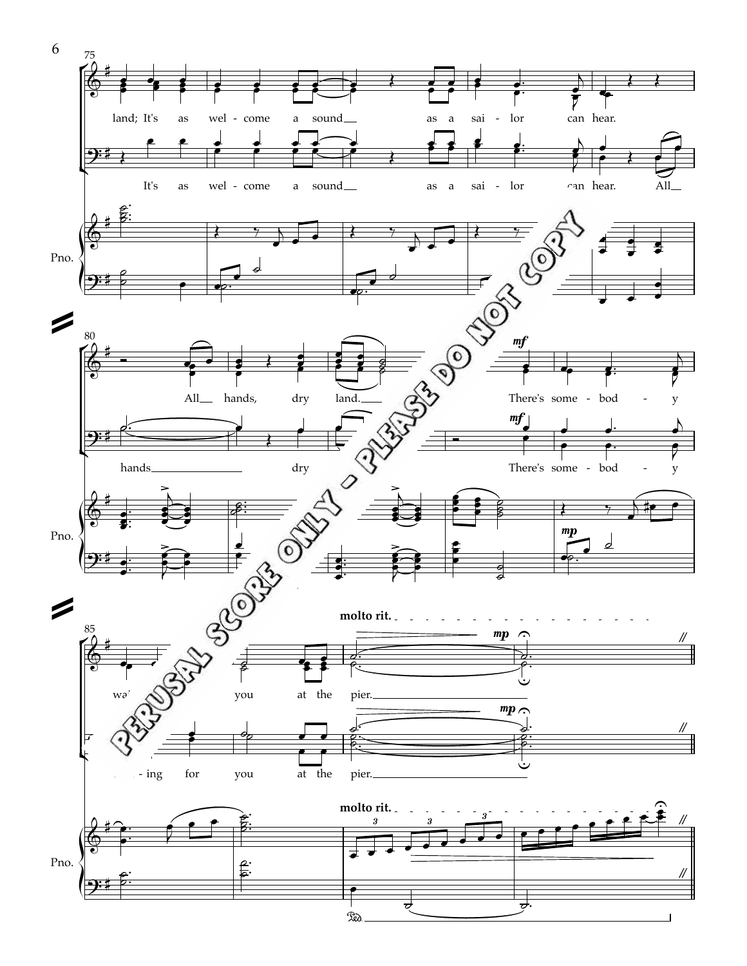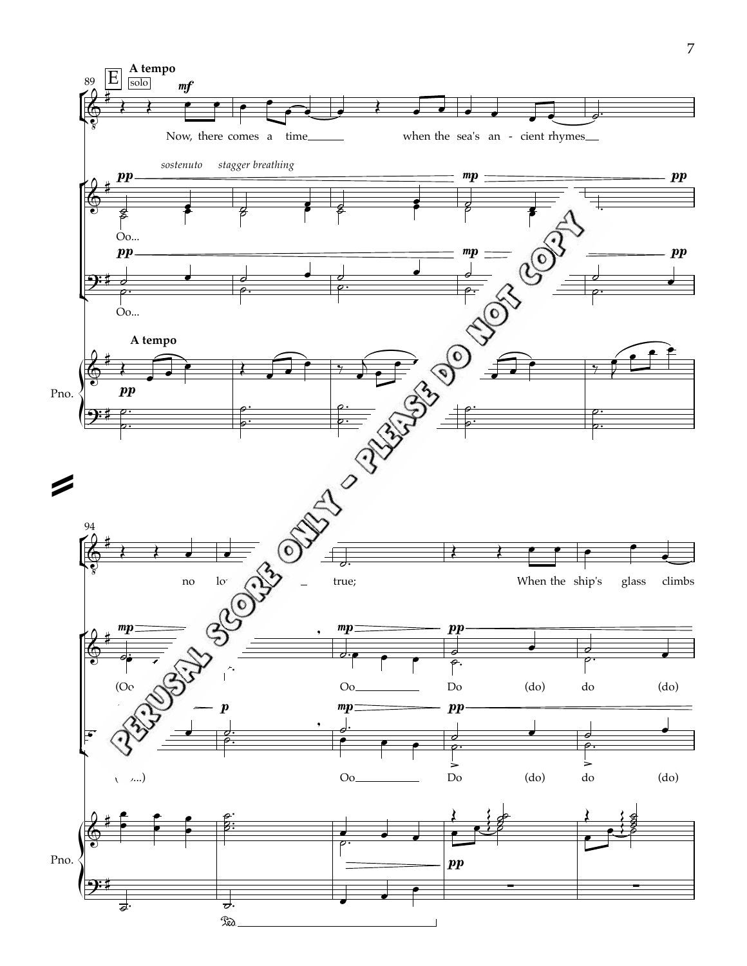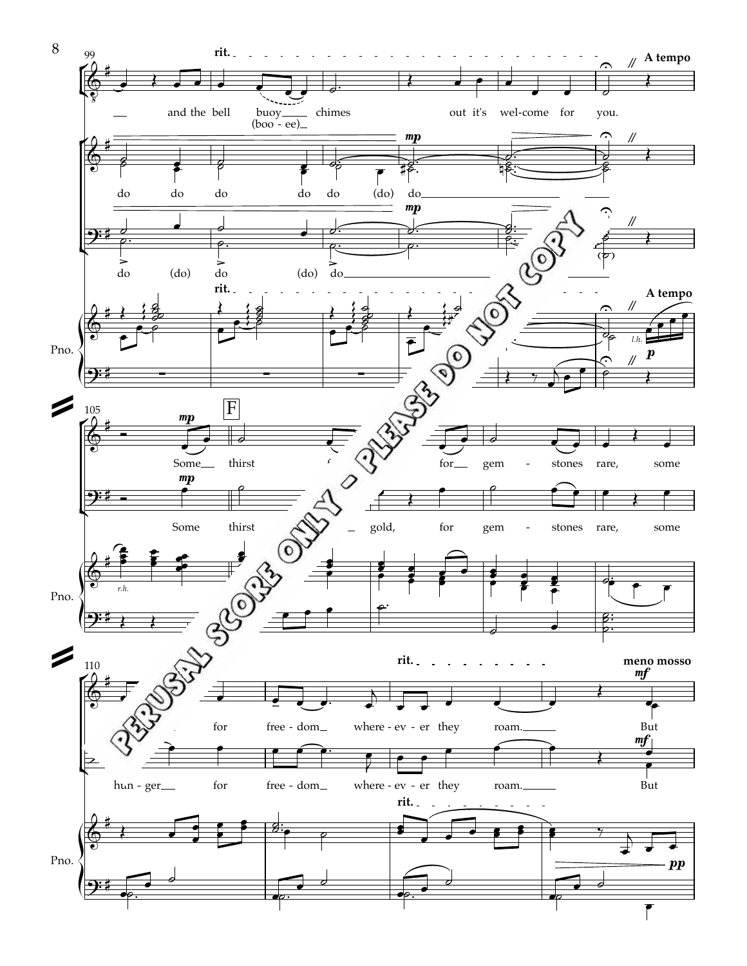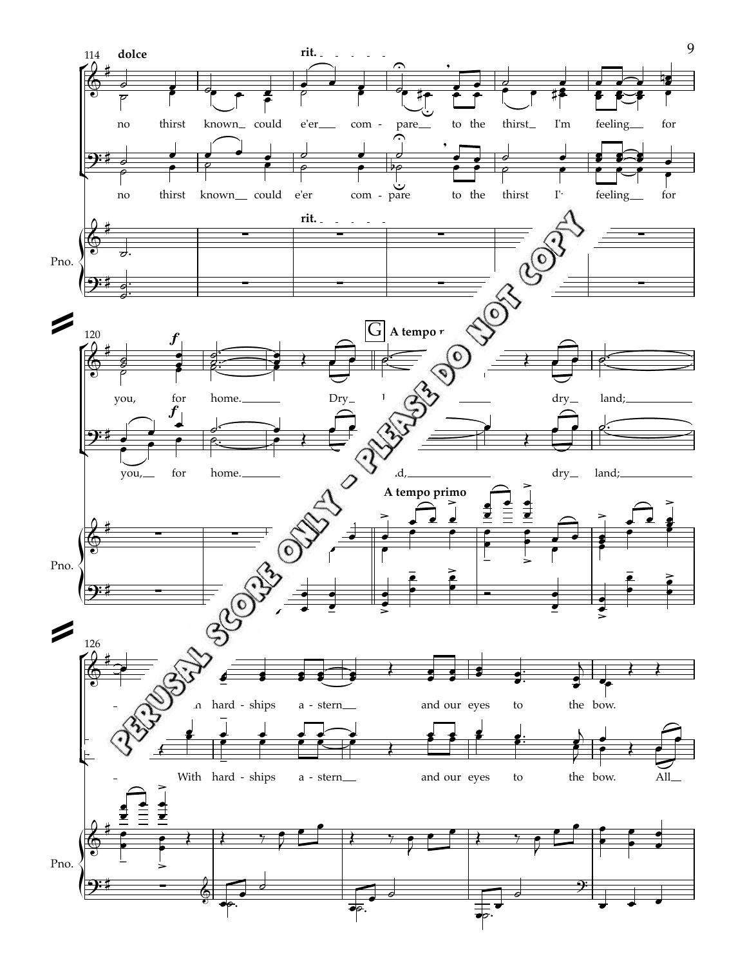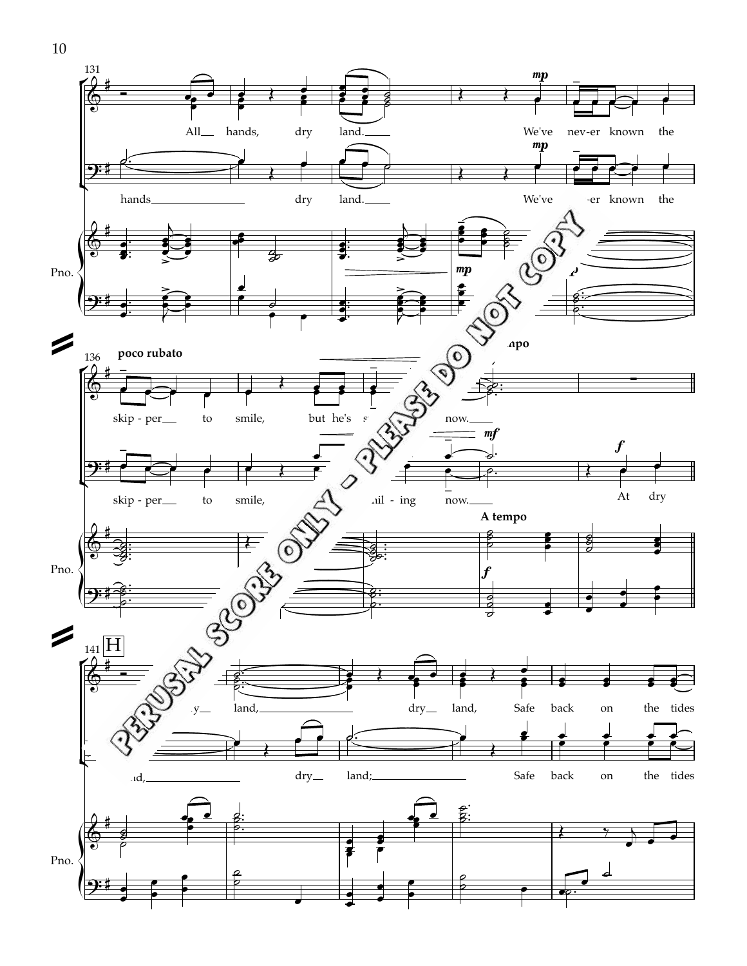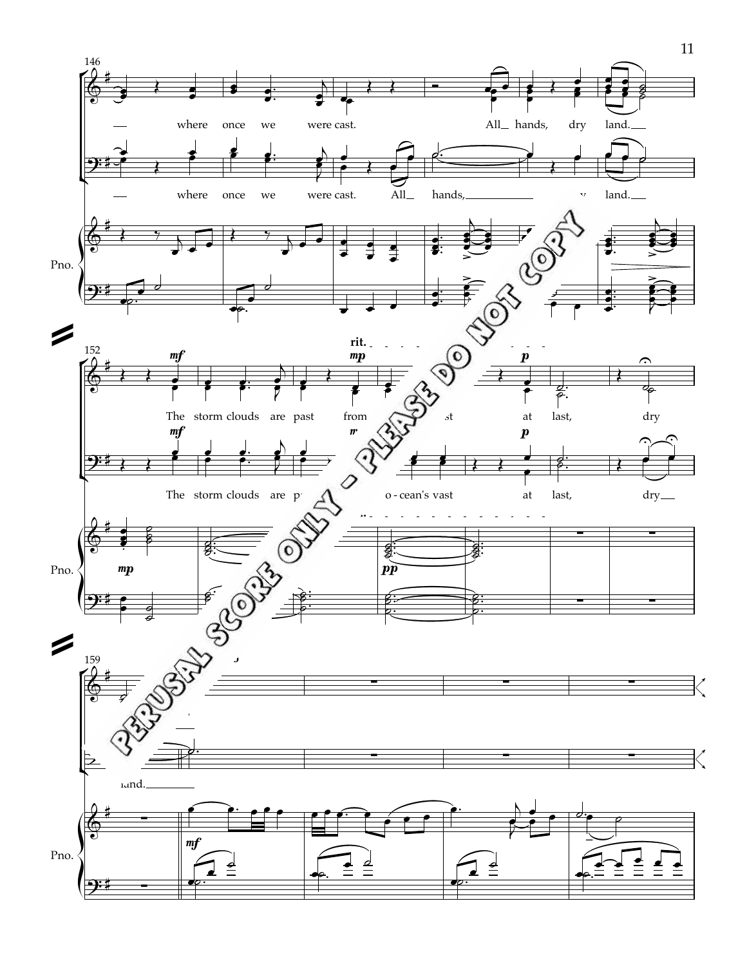